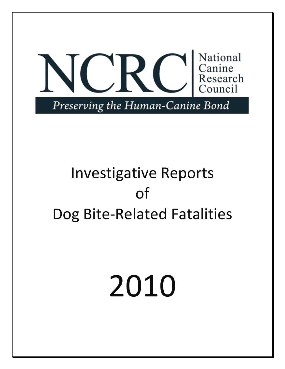

## Investigative Reports of Dog Bite-Related Fatalities

# 2010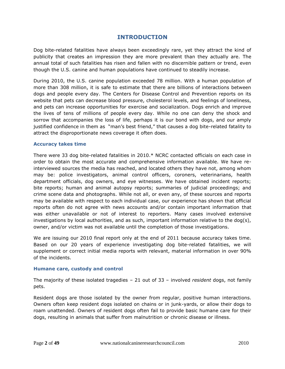#### **INTRODUCTION**

Dog bite-related fatalities have always been exceedingly rare, yet they attract the kind of publicity that creates an impression they are more prevalent than they actually are. The annual total of such fatalities has risen and fallen with no discernible pattern or trend, even though the U.S. canine and human populations have continued to steadily increase.

During 2010, the U.S. canine population exceeded 78 million. With a human population of more than 308 million, it is safe to estimate that there are billions of interactions between dogs and people every day. The Centers for Disease Control and Prevention reports on its website that pets can decrease blood pressure, cholesterol levels, and feelings of loneliness, and pets can increase opportunities for exercise and socialization. Dogs enrich and improve the lives of tens of millions of people every day. While no one can deny the shock and sorrow that accompanies the loss of life, perhaps it is our bond with dogs, and our amply justified confidence in them as "man's best friend," that causes a dog bite-related fatality to attract the disproportionate news coverage it often does.

#### **Accuracy takes time**

There were 33 dog bite-related fatalities in 2010.\* NCRC contacted officials on each case in order to obtain the most accurate and comprehensive information available. We have reinterviewed sources the media has reached, and located others they have not, among whom may be: police investigators, animal control officers, coroners, veterinarians, health department officials, dog owners, and eye witnesses. We have obtained incident reports; bite reports; human and animal autopsy reports; summaries of judicial proceedings; and crime scene data and photographs. While not all, or even any, of these sources and reports may be available with respect to each individual case, our experience has shown that official reports often do not agree with news accounts and/or contain important information that was either unavailable or not of interest to reporters. Many cases involved extensive investigations by local authorities, and as such, important information relative to the dog(s), owner, and/or victim was not available until the completion of those investigations.

We are issuing our 2010 final report only at the end of 2011 because accuracy takes time. Based on our 20 years of experience investigating dog bite-related fatalities, we will supplement or correct initial media reports with relevant, material information in over 90% of the incidents.

#### **Humane care, custody and control**

The majority of these isolated tragedies – 21 out of 33 – involved *resident* dogs, not family pets.

Resident dogs are those isolated by the owner from regular, positive human interactions. Owners often keep resident dogs isolated on chains or in junk-yards, or allow their dogs to roam unattended. Owners of resident dogs often fail to provide basic humane care for their dogs, resulting in animals that suffer from malnutrition or chronic disease or illness.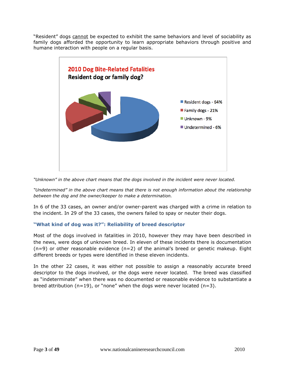"Resident" dogs cannot be expected to exhibit the same behaviors and level of sociability as family dogs afforded the opportunity to learn appropriate behaviors through positive and humane interaction with people on a regular basis.



*"Unknown" in the above chart means that the dogs involved in the incident were never located.*

*"Undetermined" in the above chart means that there is not enough information about the relationship between the dog and the owner/keeper to make a determination.*

In 6 of the 33 cases, an owner and/or owner-parent was charged with a crime in relation to the incident. In 29 of the 33 cases, the owners failed to spay or neuter their dogs.

#### **"What kind of dog was it?": Reliability of breed descriptor**

Most of the dogs involved in fatalities in 2010, however they may have been described in the news, were dogs of unknown breed. In eleven of these incidents there is documentation  $(n=9)$  or other reasonable evidence  $(n=2)$  of the animal's breed or genetic makeup. Eight different breeds or types were identified in these eleven incidents.

In the other 22 cases, it was either not possible to assign a reasonably accurate breed descriptor to the dogs involved, or the dogs were never located. The breed was classified as "indeterminate" when there was no documented or reasonable evidence to substantiate a breed attribution (n=19), or "none" when the dogs were never located (n=3).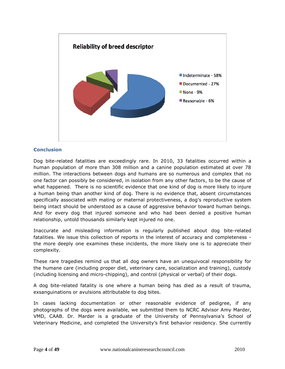

#### **Conclusion**

Dog bite-related fatalities are exceedingly rare. In 2010, 33 fatalities occurred within a human population of more than 308 million and a canine population estimated at over 78 million. The interactions between dogs and humans are so numerous and complex that no one factor can possibly be considered, in isolation from any other factors, to be the cause of what happened. There is no scientific evidence that one kind of dog is more likely to injure a human being than another kind of dog. There is no evidence that, absent circumstances specifically associated with mating or maternal protectiveness, a dog's reproductive system being intact should be understood as a cause of aggressive behavior toward human beings. And for every dog that injured someone and who had been denied a positive human relationship, untold thousands similarly kept injured no one.

Inaccurate and misleading information is regularly published about dog bite-related fatalities. We issue this collection of reports in the interest of accuracy and completeness the more deeply one examines these incidents, the more likely one is to appreciate their complexity.

These rare tragedies remind us that all dog owners have an unequivocal responsibility for the humane care (including proper diet, veterinary care, socialization and training), custody (including licensing and micro-chipping), and control (physical or verbal) of their dogs.

A dog bite-related fatality is one where a human being has died as a result of trauma, exsanguinations or avulsions attributable to dog bites.

In cases lacking documentation or other reasonable evidence of pedigree, if any photographs of the dogs were available, we submitted them to NCRC Advisor Amy Marder, VMD, CAAB. Dr. Marder is a graduate of the University of Pennsylvania's School of Veterinary Medicine, and completed the University's first behavior residency. She currently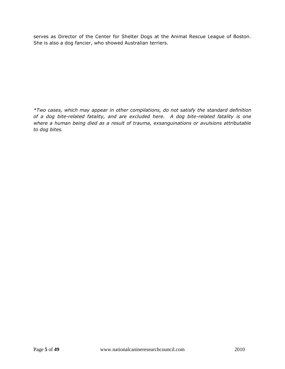serves as Director of the Center for Shelter Dogs at the Animal Rescue League of Boston. She is also a dog fancier, who showed Australian terriers.

*\*Two cases, which may appear in other compilations, do not satisfy the standard definition of a dog bite-related fatality, and are excluded here. A dog bite-related fatality is one where a human being died as a result of trauma, exsanguinations or avulsions attributable to dog bites.*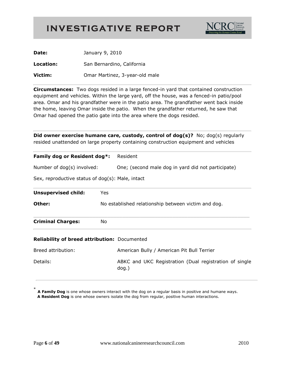

| Date:     | January 9, 2010                |
|-----------|--------------------------------|
| Location: | San Bernardino, California     |
| Victim:   | Omar Martinez, 3-year-old male |

**Circumstances:** Two dogs resided in a large fenced-in yard that contained construction equipment and vehicles. Within the large yard, off the house, was a fenced-in patio/pool area. Omar and his grandfather were in the patio area. The grandfather went back inside the home, leaving Omar inside the patio. When the grandfather returned, he saw that Omar had opened the patio gate into the area where the dogs resided.

**Did owner exercise humane care, custody, control of dog(s)?** No; dog(s) regularly resided unattended on large property containing construction equipment and vehicles

| Family dog or Resident dog*:<br>Number of dog(s) involved: |                                                     | Resident<br>One; (second male dog in yard did not participate)     |  |
|------------------------------------------------------------|-----------------------------------------------------|--------------------------------------------------------------------|--|
|                                                            |                                                     |                                                                    |  |
| <b>Unsupervised child:</b>                                 | Yes                                                 |                                                                    |  |
| Other:                                                     | No established relationship between victim and dog. |                                                                    |  |
| <b>Criminal Charges:</b>                                   | No                                                  |                                                                    |  |
| <b>Reliability of breed attribution: Documented</b>        |                                                     |                                                                    |  |
| Breed attribution:                                         |                                                     | American Bully / American Pit Bull Terrier                         |  |
| Details:                                                   |                                                     | ABKC and UKC Registration (Dual registration of single<br>$dog.$ ) |  |
|                                                            |                                                     |                                                                    |  |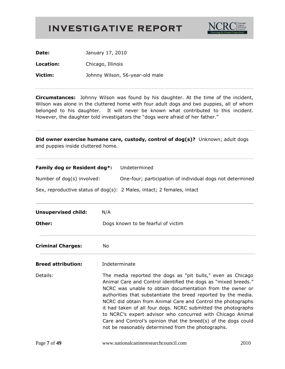

**Date:** January 17, 2010

**Location:** Chicago, Illinois

**Victim:** Johnny Wilson, 56-year-old male

**Circumstances:** Johnny Wilson was found by his daughter. At the time of the incident, Wilson was alone in the cluttered home with four adult dogs and two puppies, all of whom belonged to his daughter. It will never be known what contributed to this incident. However, the daughter told investigators the "dogs were afraid of her father."

| Did owner exercise humane care, custody, control of dog(s)? Unknown; adult dogs<br>and puppies inside cluttered home. |                                                                                                                                                                                                                                                                                                                                                                                                                                                                                                                                                                                     |  |
|-----------------------------------------------------------------------------------------------------------------------|-------------------------------------------------------------------------------------------------------------------------------------------------------------------------------------------------------------------------------------------------------------------------------------------------------------------------------------------------------------------------------------------------------------------------------------------------------------------------------------------------------------------------------------------------------------------------------------|--|
| Family dog or Resident dog*:                                                                                          | Undetermined                                                                                                                                                                                                                                                                                                                                                                                                                                                                                                                                                                        |  |
| Number of dog(s) involved:                                                                                            | One-four; participation of individual dogs not determined                                                                                                                                                                                                                                                                                                                                                                                                                                                                                                                           |  |
|                                                                                                                       | Sex, reproductive status of dog(s): 2 Males, intact; 2 females, intact                                                                                                                                                                                                                                                                                                                                                                                                                                                                                                              |  |
| <b>Unsupervised child:</b>                                                                                            | N/A                                                                                                                                                                                                                                                                                                                                                                                                                                                                                                                                                                                 |  |
| Other:                                                                                                                | Dogs known to be fearful of victim                                                                                                                                                                                                                                                                                                                                                                                                                                                                                                                                                  |  |
| <b>Criminal Charges:</b>                                                                                              | No                                                                                                                                                                                                                                                                                                                                                                                                                                                                                                                                                                                  |  |
| <b>Breed attribution:</b>                                                                                             | Indeterminate                                                                                                                                                                                                                                                                                                                                                                                                                                                                                                                                                                       |  |
| Details:                                                                                                              | The media reported the dogs as "pit bulls," even as Chicago<br>Animal Care and Control identified the dogs as "mixed breeds."<br>NCRC was unable to obtain documentation from the owner or<br>authorities that substantiate the breed reported by the media.<br>NCRC did obtain from Animal Care and Control the photographs<br>it had taken of all four dogs. NCRC submitted the photographs<br>to NCRC's expert advisor who concurred with Chicago Animal<br>Care and Control's opinion that the breed(s) of the dogs could<br>not be reasonably determined from the photographs. |  |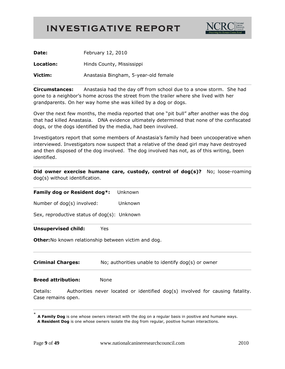

| Date:     | February 12, 2010                    |
|-----------|--------------------------------------|
| Location: | Hinds County, Mississippi            |
| Victim:   | Anastasia Bingham, 5-year-old female |

**Circumstances:** Anastasia had the day off from school due to a snow storm. She had gone to a neighbor's home across the street from the trailer where she lived with her grandparents. On her way home she was killed by a dog or dogs.

Over the next few months, the media reported that one "pit bull" after another was the dog that had killed Anastasia. DNA evidence ultimately determined that none of the confiscated dogs, or the dogs identified by the media, had been involved.

Investigators report that some members of Anastasia's family had been uncooperative when interviewed. Investigators now suspect that a relative of the dead girl may have destroyed and then disposed of the dog involved. The dog involved has not, as of this writing, been identified.

**Did owner exercise humane care, custody, control of dog(s)?** No; loose-roaming dog(s) without identification.

#### **Family dog or Resident dog\*:** Unknown

Number of dog(s) involved: Unknown

Sex, reproductive status of dog(s): Unknown

#### **Unsupervised child:** Yes

**Other:**No known relationship between victim and dog.

**Criminal Charges:** No; authorities unable to identify dog(s) or owner

**Breed attribution:** None

Details: Authorities never located or identified dog(s) involved for causing fatality. Case remains open.

<sup>\*</sup> **A Family Dog** is one whose owners interact with the dog on a regular basis in positive and humane ways.  **A Resident Dog** is one whose owners isolate the dog from regular, positive human interactions.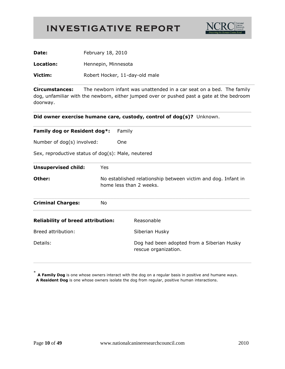

| Date:     | February 18, 2010              |  |
|-----------|--------------------------------|--|
| Location: | Hennepin, Minnesota            |  |
| Victim:   | Robert Hocker, 11-day-old male |  |

**Circumstances:** The newborn infant was unattended in a car seat on a bed. The family dog, unfamiliar with the newborn, either jumped over or pushed past a gate at the bedroom doorway.

**Did owner exercise humane care, custody, control of dog(s)?** Unknown.

| Family dog or Resident dog*:<br>Number of dog(s) involved: |     | Family                                                                                   |
|------------------------------------------------------------|-----|------------------------------------------------------------------------------------------|
|                                                            |     | <b>One</b>                                                                               |
| Sex, reproductive status of dog(s): Male, neutered         |     |                                                                                          |
| <b>Unsupervised child:</b>                                 | Yes |                                                                                          |
| Other:                                                     |     | No established relationship between victim and dog. Infant in<br>home less than 2 weeks. |
| <b>Criminal Charges:</b>                                   | No. |                                                                                          |
| <b>Reliability of breed attribution:</b>                   |     | Reasonable                                                                               |
| Breed attribution:                                         |     | Siberian Husky                                                                           |
| Details:                                                   |     | Dog had been adopted from a Siberian Husky<br>rescue organization.                       |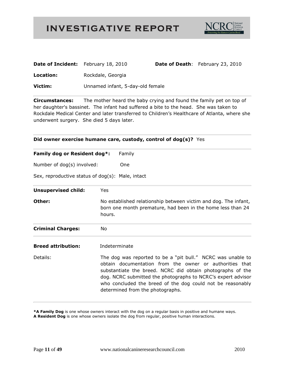

| <b>Date of Incident:</b> February 18, 2010 |                                  | <b>Date of Death:</b> February 23, 2010 |
|--------------------------------------------|----------------------------------|-----------------------------------------|
| Location:                                  | Rockdale, Georgia                |                                         |
| Victim:                                    | Unnamed infant, 5-day-old female |                                         |

**Circumstances:** The mother heard the baby crying and found the family pet on top of her daughter's bassinet. The infant had suffered a bite to the head. She was taken to Rockdale Medical Center and later transferred to Children's Healthcare of Atlanta, where she underwent surgery. She died 5 days later.

#### **Did owner exercise humane care, custody, control of dog(s)?** Yes

| Family dog or Resident dog*: | Family |  |
|------------------------------|--------|--|
| .                            |        |  |

Number of dog(s) involved: One

Sex, reproductive status of dog(s): Male, intact

| <b>Unsupervised child:</b> | Yes                                                                                                                                                                                                                                                                                                                                                    |
|----------------------------|--------------------------------------------------------------------------------------------------------------------------------------------------------------------------------------------------------------------------------------------------------------------------------------------------------------------------------------------------------|
| Other:                     | No established relationship between victim and dog. The infant,<br>born one month premature, had been in the home less than 24<br>hours.                                                                                                                                                                                                               |
| <b>Criminal Charges:</b>   | No.                                                                                                                                                                                                                                                                                                                                                    |
| <b>Breed attribution:</b>  | Indeterminate                                                                                                                                                                                                                                                                                                                                          |
| Details:                   | The dog was reported to be a "pit bull." NCRC was unable to<br>obtain documentation from the owner or authorities that<br>substantiate the breed. NCRC did obtain photographs of the<br>dog. NCRC submitted the photographs to NCRC's expert advisor<br>who concluded the breed of the dog could not be reasonably<br>determined from the photographs. |

**\*A Family Dog** is one whose owners interact with the dog on a regular basis in positive and humane ways.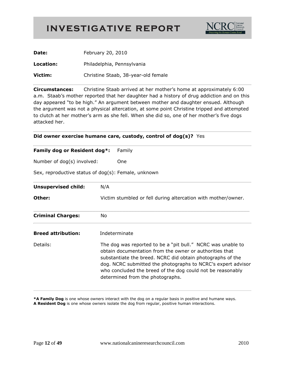

| Date:     | February 20, 2010                   |
|-----------|-------------------------------------|
| Location: | Philadelphia, Pennsylvania          |
| Victim:   | Christine Staab, 38-year-old female |

**Circumstances:** Christine Staab arrived at her mother's home at approximately 6:00 a.m. Staab's mother reported that her daughter had a history of drug addiction and on this day appeared "to be high." An argument between mother and daughter ensued. Although the argument was not a physical altercation, at some point Christine tripped and attempted to clutch at her mother's arm as she fell. When she did so, one of her mother's five dogs attacked her.

#### **Did owner exercise humane care, custody, control of dog(s)?** Yes

| Family dog or Resident dog*:                        | Family                                                                                                                                                                                                                                                                                                                                                 |
|-----------------------------------------------------|--------------------------------------------------------------------------------------------------------------------------------------------------------------------------------------------------------------------------------------------------------------------------------------------------------------------------------------------------------|
| Number of dog(s) involved:                          | One                                                                                                                                                                                                                                                                                                                                                    |
| Sex, reproductive status of dog(s): Female, unknown |                                                                                                                                                                                                                                                                                                                                                        |
| <b>Unsupervised child:</b>                          | N/A                                                                                                                                                                                                                                                                                                                                                    |
| Other:                                              | Victim stumbled or fell during altercation with mother/owner.                                                                                                                                                                                                                                                                                          |
| <b>Criminal Charges:</b>                            | No.                                                                                                                                                                                                                                                                                                                                                    |
| <b>Breed attribution:</b>                           | Indeterminate                                                                                                                                                                                                                                                                                                                                          |
| Details:                                            | The dog was reported to be a "pit bull." NCRC was unable to<br>obtain documentation from the owner or authorities that<br>substantiate the breed. NCRC did obtain photographs of the<br>dog. NCRC submitted the photographs to NCRC's expert advisor<br>who concluded the breed of the dog could not be reasonably<br>determined from the photographs. |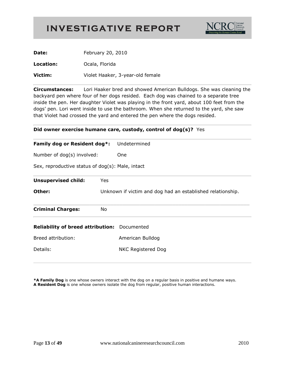

| Date:     | February 20, 2010                |
|-----------|----------------------------------|
| Location: | Ocala, Florida                   |
| Victim:   | Violet Haaker, 3-year-old female |

**Circumstances:** Lori Haaker bred and showed American Bulldogs. She was cleaning the backyard pen where four of her dogs resided. Each dog was chained to a separate tree inside the pen. Her daughter Violet was playing in the front yard, about 100 feet from the dogs' pen. Lori went inside to use the bathroom. When she returned to the yard, she saw that Violet had crossed the yard and entered the pen where the dogs resided.

| Did owner exercise humane care, custody, control of $\log(s)$ ? Yes |  |  |
|---------------------------------------------------------------------|--|--|
|                                                                     |  |  |

| Family dog or Resident dog*:                        |     | Undetermined                                               |  |  |
|-----------------------------------------------------|-----|------------------------------------------------------------|--|--|
| Number of dog(s) involved:                          |     | One.                                                       |  |  |
| Sex, reproductive status of dog(s): Male, intact    |     |                                                            |  |  |
| <b>Unsupervised child:</b>                          | Yes |                                                            |  |  |
| Other:                                              |     | Unknown if victim and dog had an established relationship. |  |  |
| <b>Criminal Charges:</b>                            | No  |                                                            |  |  |
| <b>Reliability of breed attribution:</b> Documented |     |                                                            |  |  |
| Breed attribution:                                  |     | American Bulldog                                           |  |  |
| Details:                                            |     | NKC Registered Dog                                         |  |  |
|                                                     |     |                                                            |  |  |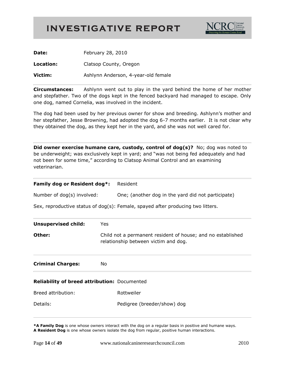

| Date:     | February 28, 2010                   |
|-----------|-------------------------------------|
| Location: | Clatsop County, Oregon              |
| Victim:   | Ashlynn Anderson, 4-year-old female |

**Circumstances:** Ashlynn went out to play in the yard behind the home of her mother and stepfather. Two of the dogs kept in the fenced backyard had managed to escape. Only one dog, named Cornelia, was involved in the incident.

The dog had been used by her previous owner for show and breeding. Ashlynn's mother and her stepfather, Jesse Browning, had adopted the dog 6-7 months earlier. It is not clear why they obtained the dog, as they kept her in the yard, and she was not well cared for.

**Did owner exercise humane care, custody, control of dog(s)?** No; dog was noted to be underweight; was exclusively kept in yard; and "was not being fed adequately and had not been for some time," according to Clatsop Animal Control and an examining veterinarian.

| Family dog or Resident dog*:                 | Resident                                                                                            |  |
|----------------------------------------------|-----------------------------------------------------------------------------------------------------|--|
| Number of dog(s) involved:                   | One; (another dog in the yard did not participate)                                                  |  |
|                                              | Sex, reproductive status of $dog(s)$ : Female, spayed after producing two litters.                  |  |
| <b>Unsupervised child:</b>                   | <b>Yes</b>                                                                                          |  |
| Other:                                       | Child not a permanent resident of house; and no established<br>relationship between victim and dog. |  |
| <b>Criminal Charges:</b>                     | No.                                                                                                 |  |
| Reliability of breed attribution: Documented |                                                                                                     |  |
| Breed attribution:                           | Rottweiler                                                                                          |  |
| Details:                                     | Pedigree (breeder/show) dog                                                                         |  |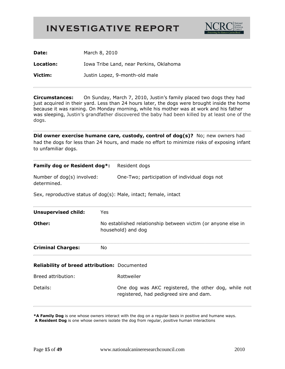

**Date:** March 8, 2010

**Location:** Iowa Tribe Land, near Perkins, Oklahoma **Victim:** Justin Lopez, 9-month-old male

**Circumstances:** On Sunday, March 7, 2010, Justin's family placed two dogs they had just acquired in their yard. Less than 24 hours later, the dogs were brought inside the home because it was raining. On Monday morning, while his mother was at work and his father was sleeping, Justin's grandfather discovered the baby had been killed by at least one of the dogs.

**Did owner exercise humane care, custody, control of dog(s)?** No; new owners had had the dogs for less than 24 hours, and made no effort to minimize risks of exposing infant to unfamiliar dogs.

| Family dog or Resident dog*:                                                                                  |    | Resident dogs                                                                                   |  |
|---------------------------------------------------------------------------------------------------------------|----|-------------------------------------------------------------------------------------------------|--|
| Number of dog(s) involved:<br>determined.<br>Sex, reproductive status of dog(s): Male, intact; female, intact |    | One-Two; participation of individual dogs not                                                   |  |
|                                                                                                               |    |                                                                                                 |  |
| Other:                                                                                                        |    | No established relationship between victim (or anyone else in<br>household) and dog             |  |
| <b>Criminal Charges:</b>                                                                                      | No |                                                                                                 |  |
| Reliability of breed attribution: Documented                                                                  |    |                                                                                                 |  |
| Breed attribution:                                                                                            |    | Rottweiler                                                                                      |  |
| Details:                                                                                                      |    | One dog was AKC registered, the other dog, while not<br>registered, had pedigreed sire and dam. |  |
|                                                                                                               |    |                                                                                                 |  |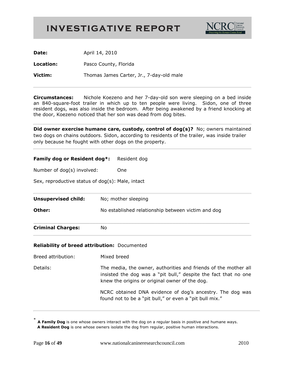

**Date:** April 14, 2010

**Location:** Pasco County, Florida

**Victim:** Thomas James Carter, Jr., 7-day-old male

**Circumstances:** Nichole Koezeno and her 7-day-old son were sleeping on a bed inside an 840-square-foot trailer in which up to ten people were living. Sidon, one of three resident dogs, was also inside the bedroom. After being awakened by a friend knocking at the door, Koezeno noticed that her son was dead from dog bites.

**Did owner exercise humane care, custody, control of dog(s)?** No; owners maintained two dogs on chains outdoors. Sidon, according to residents of the trailer, was inside trailer only because he fought with other dogs on the property.

#### **Family dog or Resident dog\*:** Resident dog

Number of dog(s) involved: One

Sex, reproductive status of dog(s): Male, intact

| <b>Criminal Charges:</b>   | No                                                 |
|----------------------------|----------------------------------------------------|
| Other:                     | No established relationship between victim and dog |
| <b>Unsupervised child:</b> | No; mother sleeping                                |

#### **Reliability of breed attribution:** Documented

| Breed attribution: | Mixed breed |
|--------------------|-------------|
|                    |             |

Details: The media, the owner, authorities and friends of the mother all insisted the dog was a "pit bull," despite the fact that no one knew the origins or original owner of the dog.

> NCRC obtained DNA evidence of dog's ancestry. The dog was found not to be a "pit bull," or even a "pit bull mix."

<sup>\*</sup> **A Family Dog** is one whose owners interact with the dog on a regular basis in positive and humane ways.  **A Resident Dog** is one whose owners isolate the dog from regular, positive human interactions.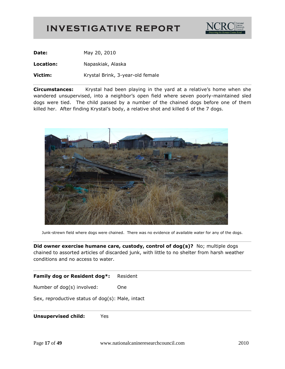

**Date:** May 20, 2010

**Location:** Napaskiak, Alaska

**Victim:** Krystal Brink, 3-year-old female

**Circumstances:** Krystal had been playing in the yard at a relative's home when she wandered unsupervised, into a neighbor's open field where seven poorly-maintained sled dogs were tied. The child passed by a number of the chained dogs before one of them killed her. After finding Krystal's body, a relative shot and killed 6 of the 7 dogs.



Junk-strewn field where dogs were chained. There was no evidence of available water for any of the dogs.

**Did owner exercise humane care, custody, control of dog(s)?** No; multiple dogs chained to assorted articles of discarded junk, with little to no shelter from harsh weather conditions and no access to water.

#### **Family dog or Resident dog\*:** Resident

Number of dog(s) involved: One

Sex, reproductive status of dog(s): Male, intact

**Unsupervised child:** Yes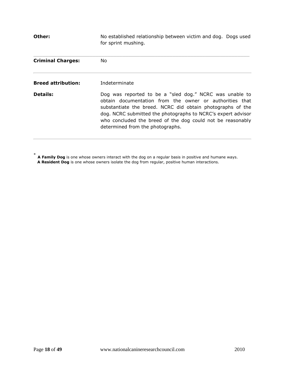**Other:** No established relationship between victim and dog. Dogs used for sprint mushing.  $\_$  , and the set of the set of the set of the set of the set of the set of the set of the set of the set of the set of the set of the set of the set of the set of the set of the set of the set of the set of the set of th **Criminal Charges:** No **Breed attribution:** Indeterminate **Details:** Dog was reported to be a "sled dog." NCRC was unable to obtain documentation from the owner or authorities that substantiate the breed. NCRC did obtain photographs of the dog. NCRC submitted the photographs to NCRC's expert advisor who concluded the breed of the dog could not be reasonably determined from the photographs.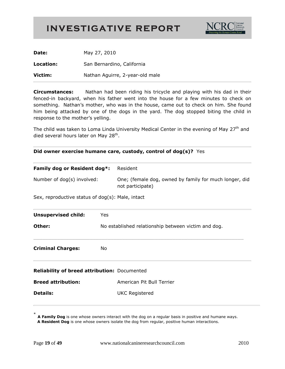

| Date:     | May 27, 2010                    |
|-----------|---------------------------------|
| Location: | San Bernardino, California      |
| Victim:   | Nathan Aguirre, 2-year-old male |

**Circumstances:** Nathan had been riding his tricycle and playing with his dad in their fenced-in backyard, when his father went into the house for a few minutes to check on something. Nathan's mother, who was in the house, came out to check on him. She found him being attacked by one of the dogs in the yard. The dog stopped biting the child in response to the mother's yelling.

The child was taken to Loma Linda University Medical Center in the evening of May  $27<sup>th</sup>$  and died several hours later on May 28<sup>th</sup>.

|  | Did owner exercise humane care, custody, control of dog(s)? Yes |  |  |  |  |
|--|-----------------------------------------------------------------|--|--|--|--|
|  |                                                                 |  |  |  |  |

| Family dog or Resident dog*:                                                   |     | Resident                                                                   |  |  |
|--------------------------------------------------------------------------------|-----|----------------------------------------------------------------------------|--|--|
| Number of dog(s) involved:<br>Sex, reproductive status of dog(s): Male, intact |     | One; (female dog, owned by family for much longer, did<br>not participate) |  |  |
|                                                                                |     |                                                                            |  |  |
| <b>Unsupervised child:</b>                                                     | Yes |                                                                            |  |  |
| Other:                                                                         |     | No established relationship between victim and dog.                        |  |  |
| <b>Criminal Charges:</b><br>No                                                 |     |                                                                            |  |  |
| Reliability of breed attribution: Documented                                   |     |                                                                            |  |  |
| <b>Breed attribution:</b>                                                      |     | American Pit Bull Terrier                                                  |  |  |
| <b>Details:</b>                                                                |     | <b>UKC Registered</b>                                                      |  |  |
|                                                                                |     |                                                                            |  |  |

<sup>\*</sup> **A Family Dog** is one whose owners interact with the dog on a regular basis in positive and humane ways.  **A Resident Dog** is one whose owners isolate the dog from regular, positive human interactions.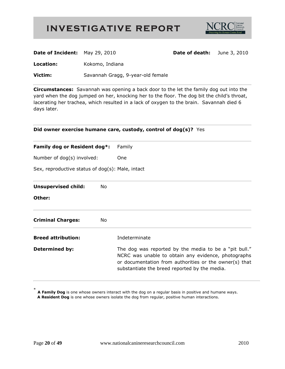

| <b>Date of Incident:</b> May 29, 2010 |                                   | <b>Date of death:</b> June 3, 2010 |  |
|---------------------------------------|-----------------------------------|------------------------------------|--|
| Location:                             | Kokomo, Indiana                   |                                    |  |
| Victim:                               | Savannah Gragg, 9-year-old female |                                    |  |

**Circumstances:** Savannah was opening a back door to the let the family dog out into the yard when the dog jumped on her, knocking her to the floor. The dog bit the child's throat, lacerating her trachea, which resulted in a lack of oxygen to the brain. Savannah died 6 days later.

| Did owner exercise humane care, custody, control of dog(s)? Yes                                                |    |                                                                                                                                                                                                                         |  |
|----------------------------------------------------------------------------------------------------------------|----|-------------------------------------------------------------------------------------------------------------------------------------------------------------------------------------------------------------------------|--|
| Family dog or Resident dog*:<br>Number of dog(s) involved:<br>Sex, reproductive status of dog(s): Male, intact |    | Family                                                                                                                                                                                                                  |  |
|                                                                                                                |    | One                                                                                                                                                                                                                     |  |
|                                                                                                                |    |                                                                                                                                                                                                                         |  |
| <b>Unsupervised child:</b>                                                                                     | No |                                                                                                                                                                                                                         |  |
| Other:                                                                                                         |    |                                                                                                                                                                                                                         |  |
| <b>Criminal Charges:</b>                                                                                       | No |                                                                                                                                                                                                                         |  |
| <b>Breed attribution:</b>                                                                                      |    | Indeterminate                                                                                                                                                                                                           |  |
| <b>Determined by:</b>                                                                                          |    | The dog was reported by the media to be a "pit bull."<br>NCRC was unable to obtain any evidence, photographs<br>or documentation from authorities or the owner(s) that<br>substantiate the breed reported by the media. |  |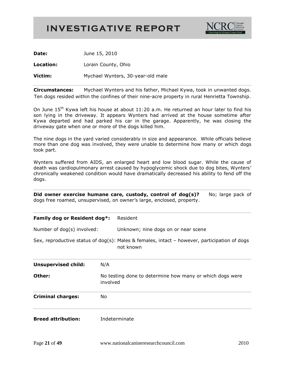

**Date:** June 15, 2010

**Location:** Lorain County, Ohio

**Victim:** Mychael Wynters, 30-year-old male

**Circumstances:** Mychael Wynters and his father, Michael Kywa, took in unwanted dogs. Ten dogs resided within the confines of their nine-acre property in rural Henrietta Township.

On June 15<sup>th</sup> Kywa left his house at about 11:20 a.m. He returned an hour later to find his son lying in the driveway. It appears Wynters had arrived at the house sometime after Kywa departed and had parked his car in the garage. Apparently, he was closing the driveway gate when one or more of the dogs killed him.

The nine dogs in the yard varied considerably in size and appearance. While officials believe more than one dog was involved, they were unable to determine how many or which dogs took part.

Wynters suffered from AIDS, an enlarged heart and low blood sugar. While the cause of death was cardiopulmonary arrest caused by hypoglycemic shock due to dog bites, Wynters' chronically weakened condition would have dramatically decreased his ability to fend off the dogs.

**Did owner exercise humane care, custody, control of dog(s)?** No; large pack of

| dogs free roamed, unsupervised, on owner's large, enclosed, property. |                                                                      |                                                                                                             |
|-----------------------------------------------------------------------|----------------------------------------------------------------------|-------------------------------------------------------------------------------------------------------------|
| Family dog or Resident dog*:                                          |                                                                      | Resident                                                                                                    |
| Number of dog(s) involved:                                            |                                                                      | Unknown; nine dogs on or near scene                                                                         |
|                                                                       |                                                                      | Sex, reproductive status of dog(s): Males & females, intact $-$ however, participation of dogs<br>not known |
| <b>Unsupervised child:</b>                                            | N/A                                                                  |                                                                                                             |
| Other:                                                                | No testing done to determine how many or which dogs were<br>involved |                                                                                                             |
| <b>Criminal charges:</b>                                              | No.                                                                  |                                                                                                             |
| <b>Breed attribution:</b>                                             |                                                                      | Indeterminate                                                                                               |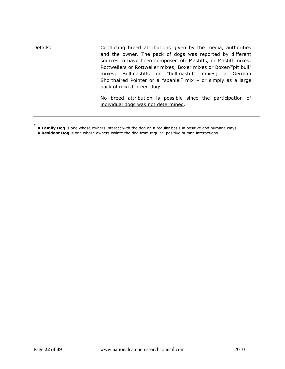Details: Conflicting breed attributions given by the media, authorities and the owner. The pack of dogs was reported by different sources to have been composed of: Mastiffs, or Mastiff mixes; Rottweilers or Rottweiler mixes; Boxer mixes or Boxer/"pit bull" mixes; Bullmastiffs or "bullmastiff" mixes; a German Shorthaired Pointer or a "spaniel" mix – or simply as a large pack of mixed-breed dogs.

> No breed attribution is possible since the participation of individual dogs was not determined.

<sup>\*</sup> **A Family Dog** is one whose owners interact with the dog on a regular basis in positive and humane ways.  **A Resident Dog** is one whose owners isolate the dog from regular, positive human interactions.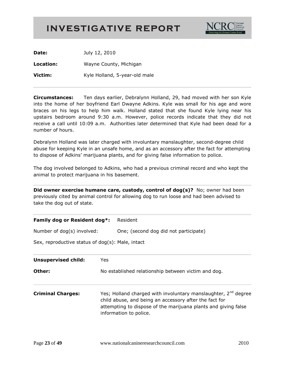

**Date:** July 12, 2010 **Location:** Wayne County, Michigan **Victim:** Kyle Holland, 5-year-old male

**Circumstances:** Ten days earlier, Debralynn Holland, 29, had moved with her son Kyle into the home of her boyfriend Earl Dwayne Adkins. Kyle was small for his age and wore braces on his legs to help him walk. Holland stated that she found Kyle lying near his upstairs bedroom around 9:30 a.m. However, police records indicate that they did not receive a call until 10:09 a.m. Authorities later determined that Kyle had been dead for a number of hours.

Debralynn Holland was later charged with involuntary manslaughter, second-degree child abuse for keeping Kyle in an unsafe home, and as an accessory after the fact for attempting to dispose of Adkins' marijuana plants, and for giving false information to police.

The dog involved belonged to Adkins, who had a previous criminal record and who kept the animal to protect marijuana in his basement.

**Did owner exercise humane care, custody, control of dog(s)?** No; owner had been previously cited by animal control for allowing dog to run loose and had been advised to take the dog out of state.

|  |  | Family dog or Resident dog*: | Resident |
|--|--|------------------------------|----------|
|--|--|------------------------------|----------|

Number of dog(s) involved: One; (second dog did not participate)

Sex, reproductive status of dog(s): Male, intact

| <b>Unsupervised child:</b> | Yes<br>No established relationship between victim and dog.                                                                                                                                                                       |  |  |
|----------------------------|----------------------------------------------------------------------------------------------------------------------------------------------------------------------------------------------------------------------------------|--|--|
| Other:                     |                                                                                                                                                                                                                                  |  |  |
| <b>Criminal Charges:</b>   | Yes; Holland charged with involuntary manslaughter, 2 <sup>nd</sup> degree<br>child abuse, and being an accessory after the fact for<br>attempting to dispose of the marijuana plants and giving false<br>information to police. |  |  |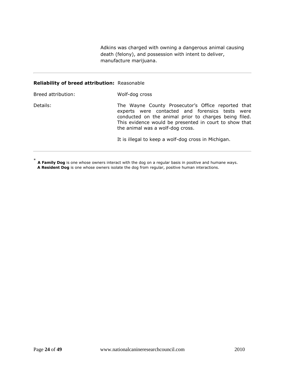Adkins was charged with owning a dangerous animal causing death (felony), and possession with intent to deliver, manufacture marijuana.

#### **Reliability of breed attribution:** Reasonable

| Breed attribution: | Wolf-dog cross                                                                                                                                                                                                                                               |
|--------------------|--------------------------------------------------------------------------------------------------------------------------------------------------------------------------------------------------------------------------------------------------------------|
| Details:           | The Wayne County Prosecutor's Office reported that<br>experts were contacted and forensics tests were<br>conducted on the animal prior to charges being filed.<br>This evidence would be presented in court to show that<br>the animal was a wolf-dog cross. |
|                    | It is illegal to keep a wolf-dog cross in Michigan.                                                                                                                                                                                                          |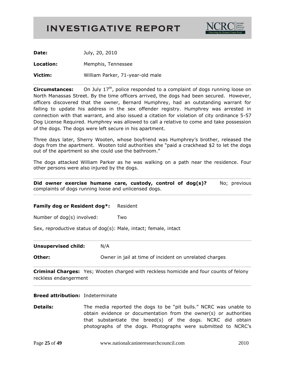

**Date:** July, 20, 2010 **Location:** Memphis, Tennessee **Victim:** William Parker, 71-year-old male

**Circumstances:** On July 17<sup>th</sup>, police responded to a complaint of dogs running loose on North Manassas Street. By the time officers arrived, the dogs had been secured. However, officers discovered that the owner, Bernard Humphrey, had an outstanding warrant for failing to update his address in the sex offender registry. Humphrey was arrested in connection with that warrant, and also issued a citation for violation of city ordinance 5-57 Dog License Required. Humphrey was allowed to call a relative to come and take possession of the dogs. The dogs were left secure in his apartment.

Three days later, Sherry Wooten, whose boyfriend was Humphrey's brother, released the dogs from the apartment. Wooten told authorities she "paid a crackhead \$2 to let the dogs out of the apartment so she could use the bathroom."

The dogs attacked William Parker as he was walking on a path near the residence. Four other persons were also injured by the dogs.

**Did owner exercise humane care, custody, control of dog(s)?** No; previous complaints of dogs running loose and unlicensed dogs.

**Family dog or Resident dog\*:** Resident

Number of dog(s) involved: Two

Sex, reproductive status of dog(s): Male, intact; female, intact

**Unsupervised child:** N/A

**Other: Charges Owner** in jail at time of incident on unrelated charges

**Criminal Charges:** Yes; Wooten charged with reckless homicide and four counts of felony reckless endangerment

#### **Breed attribution:** Indeterminate

**Details:** The media reported the dogs to be "pit bulls." NCRC was unable to obtain evidence or documentation from the owner(s) or authorities that substantiate the breed(s) of the dogs. NCRC did obtain photographs of the dogs. Photographs were submitted to NCRC's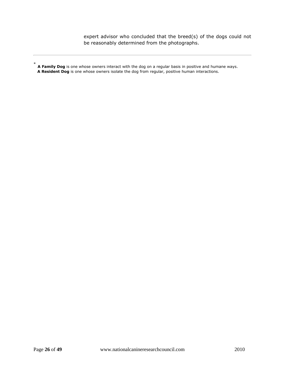expert advisor who concluded that the breed(s) of the dogs could not be reasonably determined from the photographs.

<sup>\*</sup> **A Family Dog** is one whose owners interact with the dog on a regular basis in positive and humane ways.  **A Resident Dog** is one whose owners isolate the dog from regular, positive human interactions.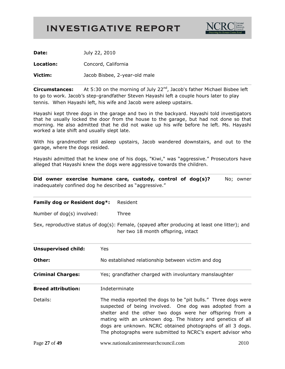

**Date:** July 22, 2010

**Location:** Concord, California

**Victim:** Jacob Bisbee, 2-year-old male

**Circumstances:** At 5:30 on the morning of July 22<sup>nd</sup>, Jacob's father Michael Bisbee left to go to work. Jacob's step-grandfather Steven Hayashi left a couple hours later to play tennis. When Hayashi left, his wife and Jacob were asleep upstairs.

Hayashi kept three dogs in the garage and two in the backyard. Hayashi told investigators that he usually locked the door from the house to the garage, but had not done so that morning. He also admitted that he did not wake up his wife before he left. Ms. Hayashi worked a late shift and usually slept late.

With his grandmother still asleep upstairs, Jacob wandered downstairs, and out to the garage, where the dogs resided.

Hayashi admitted that he knew one of his dogs, "Kiwi," was "aggressive." Prosecutors have alleged that Hayashi knew the dogs were aggressive towards the children.

**Did owner exercise humane care, custody, control of dog(s)?** No; owner inadequately confined dog he described as "aggressive."

| Family dog or Resident dog*: Resident |  |
|---------------------------------------|--|
|---------------------------------------|--|

Number of dog(s) involved: Three

Sex, reproductive status of dog(s): Female, (spayed after producing at least one litter); and her two 18 month offspring, intact

| <b>Unsupervised child:</b> | Yes.                                                                                                                                                                                                                                                                                                                                                                              |  |  |
|----------------------------|-----------------------------------------------------------------------------------------------------------------------------------------------------------------------------------------------------------------------------------------------------------------------------------------------------------------------------------------------------------------------------------|--|--|
| Other:                     | No established relationship between victim and dog                                                                                                                                                                                                                                                                                                                                |  |  |
| <b>Criminal Charges:</b>   | Yes; grandfather charged with involuntary manslaughter                                                                                                                                                                                                                                                                                                                            |  |  |
| <b>Breed attribution:</b>  | Indeterminate                                                                                                                                                                                                                                                                                                                                                                     |  |  |
| Details:                   | The media reported the dogs to be "pit bulls." Three dogs were<br>suspected of being involved. One dog was adopted from a<br>shelter and the other two dogs were her offspring from a<br>mating with an unknown dog. The history and genetics of all<br>dogs are unknown. NCRC obtained photographs of all 3 dogs.<br>The photographs were submitted to NCRC's expert advisor who |  |  |
|                            |                                                                                                                                                                                                                                                                                                                                                                                   |  |  |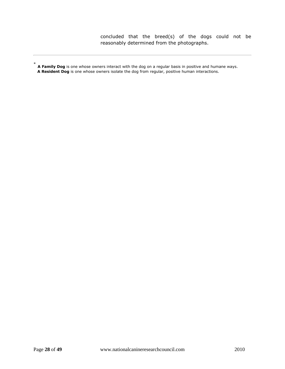concluded that the breed(s) of the dogs could not be reasonably determined from the photographs.

<sup>\*</sup> **A Family Dog** is one whose owners interact with the dog on a regular basis in positive and humane ways.  **A Resident Dog** is one whose owners isolate the dog from regular, positive human interactions.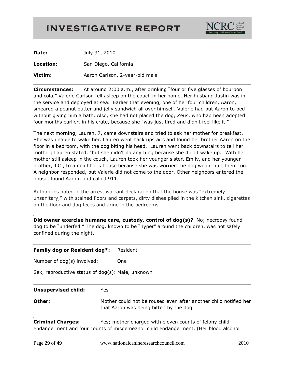

| Date:     | July 31, 2010                  |
|-----------|--------------------------------|
| Location: | San Diego, California          |
| Victim:   | Aaron Carlson, 2-year-old male |

**Circumstances:** At around 2:00 a.m., after drinking "four or five glasses of bourbon and cola," Valerie Carlson fell asleep on the couch in her home. Her husband Justin was in the service and deployed at sea. Earlier that evening, one of her four children, Aaron, smeared a peanut butter and jelly sandwich all over himself. Valerie had put Aaron to bed without giving him a bath. Also, she had not placed the dog, Zeus, who had been adopted four months earlier, in his crate, because she "was just tired and didn't feel like it."

The next morning, Lauren, 7, came downstairs and tried to ask her mother for breakfast. She was unable to wake her. Lauren went back upstairs and found her brother Aaron on the floor in a bedroom, with the dog biting his head. Lauren went back downstairs to tell her mother; Lauren stated, "but she didn't do anything because she didn't wake up." With her mother still asleep in the couch, Lauren took her younger sister, Emily, and her younger brother, J.C., to a neighbor's house because she was worried the dog would hurt them too. A neighbor responded, but Valerie did not come to the door. Other neighbors entered the house, found Aaron, and called 911.

Authorities noted in the arrest warrant declaration that the house was "extremely unsanitary," with stained floors and carpets, dirty dishes piled in the kitchen sink, cigarettes on the floor and dog feces and urine in the bedrooms.

**Did owner exercise humane care, custody, control of dog(s)?** No; necropsy found dog to be "underfed." The dog, known to be "hyper" around the children, was not safely confined during the night.

| Family dog or Resident dog*:                      | Resident                                                                                                                                     |
|---------------------------------------------------|----------------------------------------------------------------------------------------------------------------------------------------------|
| Number of dog(s) involved:                        | <b>One</b>                                                                                                                                   |
| Sex, reproductive status of dog(s): Male, unknown |                                                                                                                                              |
| <b>Unsupervised child:</b>                        | Yes                                                                                                                                          |
| Other:                                            | Mother could not be roused even after another child notified her<br>that Aaron was being bitten by the dog.                                  |
| <b>Criminal Charges:</b>                          | Yes; mother charged with eleven counts of felony child<br>endangerment and four counts of misdemeanor child endangerment. (Her blood alcohol |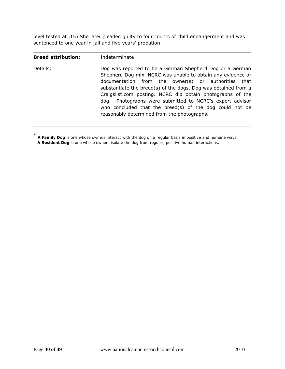level tested at .15) She later pleaded guilty to four counts of child endangerment and was sentenced to one year in jail and five years' probation.

| <b>Breed attribution:</b> | Indeterminate                                                                                                                                                                                                                                                                                                                                                                                                                                                                        |
|---------------------------|--------------------------------------------------------------------------------------------------------------------------------------------------------------------------------------------------------------------------------------------------------------------------------------------------------------------------------------------------------------------------------------------------------------------------------------------------------------------------------------|
| Details:                  | Dog was reported to be a German Shepherd Dog or a German<br>Shepherd Dog mix. NCRC was unable to obtain any evidence or<br>documentation from the owner(s) or authorities that<br>substantiate the breed(s) of the dogs. Dog was obtained from a<br>Craigslist.com posting. NCRC did obtain photographs of the<br>dog. Photographs were submitted to NCRC's expert advisor<br>who concluded that the breed(s) of the dog could not be<br>reasonably determined from the photographs. |
|                           |                                                                                                                                                                                                                                                                                                                                                                                                                                                                                      |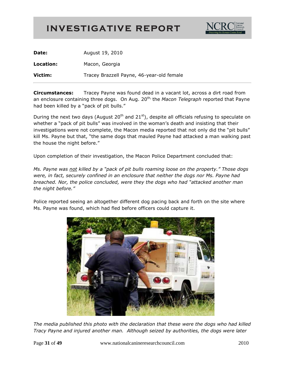

| Date:     | August 19, 2010                           |
|-----------|-------------------------------------------|
| Location: | Macon, Georgia                            |
| Victim:   | Tracey Brazzell Payne, 46-year-old female |

**Circumstances:** Tracey Payne was found dead in a vacant lot, across a dirt road from an enclosure containing three dogs. On Aug. 20<sup>th,</sup> the *Macon Telegraph* reported that Payne had been killed by a "pack of pit bulls."

During the next two days (August 20<sup>th</sup> and 21<sup>st</sup>), despite all officials refusing to speculate on whether a "pack of pit bulls" was involved in the woman's death and insisting that their investigations were not complete, the Macon media reported that not only did the "pit bulls" kill Ms. Payne but that, "the same dogs that mauled Payne had attacked a man walking past the house the night before."

Upon completion of their investigation, the Macon Police Department concluded that:

*Ms. Payne was not killed by a "pack of pit bulls roaming loose on the property." Those dogs were, in fact, securely confined in an enclosure that neither the dogs nor Ms. Payne had breached. Nor, the police concluded, were they the dogs who had "attacked another man the night before."* 

Police reported seeing an altogether different dog pacing back and forth on the site where Ms. Payne was found, which had fled before officers could capture it.



*The media published this photo with the declaration that these were the dogs who had killed Tracy Payne and injured another man. Although seized by authorities, the dogs were later*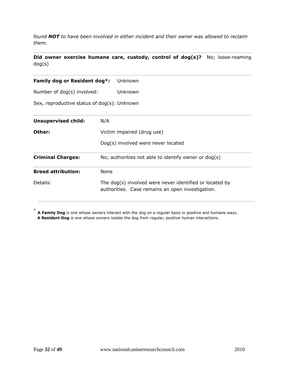*found NOT to have been involved in either incident and their owner was allowed to reclaim them.*

**Did owner exercise humane care, custody, control of dog(s)?** No; loose-roaming dog(s)

**Family dog or Resident dog\*:** Unknown

Number of dog(s) involved: Unknown

Sex, reproductive status of dog(s): Unknown

| <b>Unsupervised child:</b> | N/A                                                                                                         |
|----------------------------|-------------------------------------------------------------------------------------------------------------|
| Other:                     | Victim impaired (drug use)                                                                                  |
|                            | Dog(s) involved were never located                                                                          |
| <b>Criminal Charges:</b>   | No; authorities not able to identify owner or dog(s)                                                        |
| <b>Breed attribution:</b>  | None                                                                                                        |
| Details:                   | The dog(s) involved were never identified or located by<br>authorities. Case remains an open investigation. |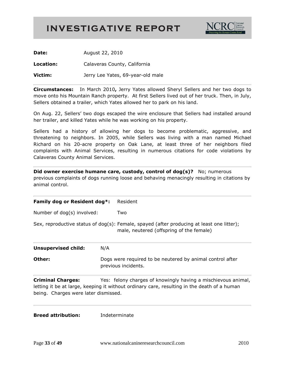

**Date:** August 22, 2010

**Location:** Calaveras County, California

**Victim:** Jerry Lee Yates, 69-year-old male

**Circumstances:** In March 2010**,** Jerry Yates allowed Sheryl Sellers and her two dogs to move onto his Mountain Ranch property. At first Sellers lived out of her truck. Then, in July, Sellers obtained a trailer, which Yates allowed her to park on his land.

On Aug. 22, Sellers' two dogs escaped the wire enclosure that Sellers had installed around her trailer, and killed Yates while he was working on his property.

Sellers had a history of allowing her dogs to become problematic, aggressive, and threatening to neighbors. In 2005, while Sellers was living with a man named Michael Richard on his 20-acre property on Oak Lane, at least three of her neighbors filed complaints with Animal Services, resulting in numerous citations for code violations by Calaveras County Animal Services.

**Did owner exercise humane care, custody, control of dog(s)?** No; numerous previous complaints of dogs running loose and behaving menacingly resulting in citations by animal control.

| Family dog or Resident dog*:<br>Number of dog(s) involved:                                                                                                      |  | Resident<br>Two<br>Sex, reproductive status of dog(s): Female, spayed (after producing at least one litter);<br>male, neutered (offspring of the female) |  |                            |                                                                                  |  |
|-----------------------------------------------------------------------------------------------------------------------------------------------------------------|--|----------------------------------------------------------------------------------------------------------------------------------------------------------|--|----------------------------|----------------------------------------------------------------------------------|--|
|                                                                                                                                                                 |  |                                                                                                                                                          |  | <b>Unsupervised child:</b> | N/A                                                                              |  |
|                                                                                                                                                                 |  |                                                                                                                                                          |  | Other:                     | Dogs were required to be neutered by animal control after<br>previous incidents. |  |
| <b>Criminal Charges:</b><br>letting it be at large, keeping it without ordinary care, resulting in the death of a human<br>being. Charges were later dismissed. |  | Yes: felony charges of knowingly having a mischievous animal,                                                                                            |  |                            |                                                                                  |  |

**Breed attribution:** Indeterminate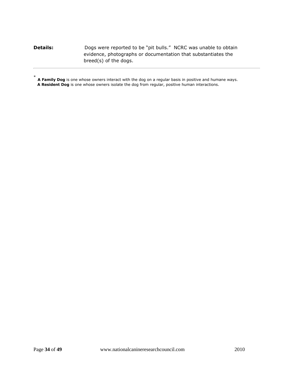#### **Details:** Dogs were reported to be "pit bulls." NCRC was unable to obtain evidence, photographs or documentation that substantiates the breed(s) of the dogs.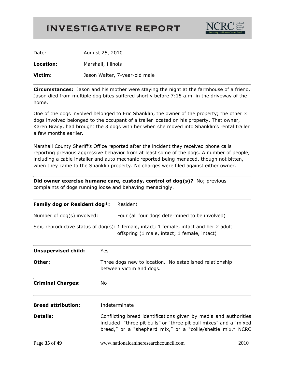

Date: August 25, 2010 **Location:** Marshall, Illinois **Victim:** Jason Walter, 7-year-old male

**Circumstances:** Jason and his mother were staying the night at the farmhouse of a friend. Jason died from multiple dog bites suffered shortly before 7:15 a.m. in the driveway of the home.

One of the dogs involved belonged to Eric Shanklin, the owner of the property; the other 3 dogs involved belonged to the occupant of a trailer located on his property. That owner, Karen Brady, had brought the 3 dogs with her when she moved into Shanklin's rental trailer a few months earlier.

Marshall County Sheriff's Office reported after the incident they received phone calls reporting previous aggressive behavior from at least some of the dogs. A number of people, including a cable installer and auto mechanic reported being menaced, though not bitten, when they came to the Shanklin property. No charges were filed against either owner.

**Did owner exercise humane care, custody, control of dog(s)?** No; previous complaints of dogs running loose and behaving menacingly.

| Family dog or Resident dog*: |     | Resident                                                                                                                                  |
|------------------------------|-----|-------------------------------------------------------------------------------------------------------------------------------------------|
| Number of dog(s) involved:   |     | Four (all four dogs determined to be involved)                                                                                            |
|                              |     | Sex, reproductive status of $dog(s)$ : 1 female, intact; 1 female, intact and her 2 adult<br>offspring (1 male, intact; 1 female, intact) |
| <b>Unsupervised child:</b>   | Yes |                                                                                                                                           |
| Other:                       |     | Three dogs new to location. No established relationship<br>between victim and dogs.                                                       |
| <b>Criminal Charges:</b>     | No  |                                                                                                                                           |

**Breed attribution:** Indeterminate

**Details:** Conflicting breed identifications given by media and authorities included: "three pit bulls" or "three pit bull mixes" and a "mixed breed," or a "shepherd mix," or a "collie/sheltie mix." NCRC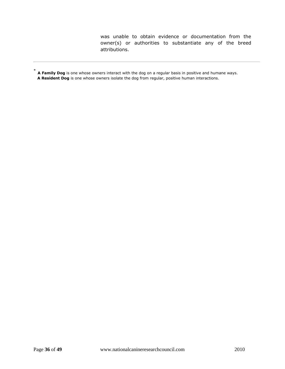was unable to obtain evidence or documentation from the owner(s) or authorities to substantiate any of the breed attributions.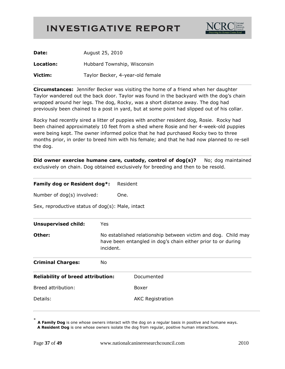

| Date:     | August 25, 2010                  |
|-----------|----------------------------------|
| Location: | Hubbard Township, Wisconsin      |
| Victim:   | Taylor Becker, 4-year-old female |

**Circumstances:** Jennifer Becker was visiting the home of a friend when her daughter Taylor wandered out the back door. Taylor was found in the backyard with the dog's chain wrapped around her legs. The dog, Rocky, was a short distance away. The dog had previously been chained to a post in yard, but at some point had slipped out of his collar.

Rocky had recently sired a litter of puppies with another resident dog, Rosie. Rocky had been chained approximately 10 feet from a shed where Rosie and her 4-week-old puppies were being kept. The owner informed police that he had purchased Rocky two to three months prior, in order to breed him with his female; and that he had now planned to re-sell the dog.

**Did owner exercise humane care, custody, control of dog(s)?** No; dog maintained exclusively on chain. Dog obtained exclusively for breeding and then to be resold.

#### **Family dog or Resident dog\*:** Resident

Number of dog(s) involved: One.

Sex, reproductive status of dog(s): Male, intact

| <b>Unsupervised child:</b>               | Yes       |                                                                                                                               |
|------------------------------------------|-----------|-------------------------------------------------------------------------------------------------------------------------------|
| Other:                                   | incident. | No established relationship between victim and dog. Child may<br>have been entangled in dog's chain either prior to or during |
| <b>Criminal Charges:</b>                 | No.       |                                                                                                                               |
| <b>Reliability of breed attribution:</b> |           | Documented                                                                                                                    |
| Breed attribution:                       |           | Boxer                                                                                                                         |
| Details:                                 |           | <b>AKC</b> Registration                                                                                                       |

<sup>\*</sup> **A Family Dog** is one whose owners interact with the dog on a regular basis in positive and humane ways.  **A Resident Dog** is one whose owners isolate the dog from regular, positive human interactions.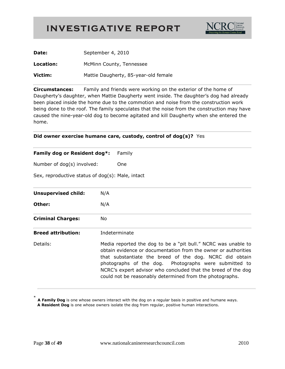

| Date:     | September 4, 2010                    |
|-----------|--------------------------------------|
| Location: | McMinn County, Tennessee             |
| Victim:   | Mattie Daugherty, 85-year-old female |

**Circumstances:** Family and friends were working on the exterior of the home of Daugherty's daughter, when Mattie Daugherty went inside. The daughter's dog had already been placed inside the home due to the commotion and noise from the construction work being done to the roof. The family speculates that the noise from the construction may have caused the nine-year-old dog to become agitated and kill Daugherty when she entered the home.

#### **Did owner exercise humane care, custody, control of dog(s)?** Yes

#### **Family dog or Resident dog\*:** Family

Number of dog(s) involved: One

Sex, reproductive status of dog(s): Male, intact

| <b>Unsupervised child:</b> | N/A                                                                                                                                                                                                                                                                                                                                                                              |
|----------------------------|----------------------------------------------------------------------------------------------------------------------------------------------------------------------------------------------------------------------------------------------------------------------------------------------------------------------------------------------------------------------------------|
| Other:                     | N/A                                                                                                                                                                                                                                                                                                                                                                              |
| <b>Criminal Charges:</b>   | No.                                                                                                                                                                                                                                                                                                                                                                              |
| <b>Breed attribution:</b>  | Indeterminate                                                                                                                                                                                                                                                                                                                                                                    |
| Details:                   | Media reported the dog to be a "pit bull." NCRC was unable to<br>obtain evidence or documentation from the owner or authorities<br>that substantiate the breed of the dog. NCRC did obtain<br>photographs of the dog. Photographs were submitted to<br>NCRC's expert advisor who concluded that the breed of the dog<br>could not be reasonably determined from the photographs. |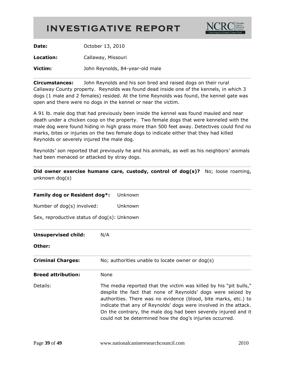

| Date:     | October 13, 2010                |
|-----------|---------------------------------|
| Location: | Callaway, Missouri              |
| Victim:   | John Reynolds, 84-year-old male |

**Circumstances:** John Reynolds and his son bred and raised dogs on their rural Callaway County property. Reynolds was found dead inside one of the kennels, in which 3 dogs (1 male and 2 females) resided. At the time Reynolds was found, the kennel gate was open and there were no dogs in the kennel or near the victim.

A 91 lb. male dog that had previously been inside the kennel was found mauled and near death under a chicken coop on the property. Two female dogs that were kenneled with the male dog were found hiding in high grass more than 500 feet away. Detectives could find no marks, bites or injuries on the two female dogs to indicate either that they had killed Reynolds or severely injured the male dog.

Reynolds' son reported that previously he and his animals, as well as his neighbors' animals had been menaced or attacked by stray dogs.

**Did owner exercise humane care, custody, control of dog(s)?** No; loose roaming, unknown dog(s)

| Family dog or Resident dog*:                | Unknown                                                                                                                                                                                                                                                                                                                                                                                               |  |
|---------------------------------------------|-------------------------------------------------------------------------------------------------------------------------------------------------------------------------------------------------------------------------------------------------------------------------------------------------------------------------------------------------------------------------------------------------------|--|
| Number of dog(s) involved:                  | Unknown                                                                                                                                                                                                                                                                                                                                                                                               |  |
| Sex, reproductive status of dog(s): Unknown |                                                                                                                                                                                                                                                                                                                                                                                                       |  |
| <b>Unsupervised child:</b>                  | N/A                                                                                                                                                                                                                                                                                                                                                                                                   |  |
| Other:                                      |                                                                                                                                                                                                                                                                                                                                                                                                       |  |
| <b>Criminal Charges:</b>                    | No; authorities unable to locate owner or dog(s)                                                                                                                                                                                                                                                                                                                                                      |  |
| <b>Breed attribution:</b>                   | None                                                                                                                                                                                                                                                                                                                                                                                                  |  |
| Details:                                    | The media reported that the victim was killed by his "pit bulls,"<br>despite the fact that none of Reynolds' dogs were seized by<br>authorities. There was no evidence (blood, bite marks, etc.) to<br>indicate that any of Reynolds' dogs were involved in the attack.<br>On the contrary, the male dog had been severely injured and it<br>could not be determined how the dog's injuries occurred. |  |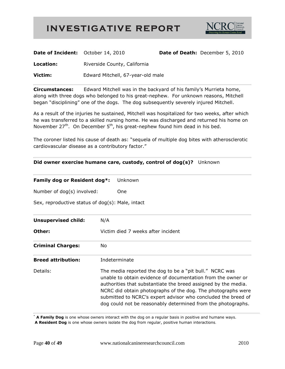

| <b>Date of Incident:</b> October 14, 2010 |                                   | Date of Death: December 5, 2010 |
|-------------------------------------------|-----------------------------------|---------------------------------|
| Location:                                 | Riverside County, California      |                                 |
| Victim:                                   | Edward Mitchell, 67-year-old male |                                 |

**Circumstances:** Edward Mitchell was in the backyard of his family's Murrieta home, along with three dogs who belonged to his great-nephew. For unknown reasons, Mitchell began "disciplining" one of the dogs. The dog subsequently severely injured Mitchell.

As a result of the injuries he sustained, Mitchell was hospitalized for two weeks, after which he was transferred to a skilled nursing home. He was discharged and returned his home on November  $27<sup>th</sup>$ . On December  $5<sup>th</sup>$ , his great-nephew found him dead in his bed.

The coroner listed his cause of death as: "sequela of multiple dog bites with atherosclerotic cardiovascular disease as a contributory factor."

#### **Did owner exercise humane care, custody, control of dog(s)?** Unknown

| Family dog or Resident dog*:                     |                                    | Unknown                                                                                                                                                                                                                                                                                                                                                                                    |
|--------------------------------------------------|------------------------------------|--------------------------------------------------------------------------------------------------------------------------------------------------------------------------------------------------------------------------------------------------------------------------------------------------------------------------------------------------------------------------------------------|
| Number of dog(s) involved:                       |                                    | One                                                                                                                                                                                                                                                                                                                                                                                        |
| Sex, reproductive status of dog(s): Male, intact |                                    |                                                                                                                                                                                                                                                                                                                                                                                            |
| <b>Unsupervised child:</b>                       | N/A                                |                                                                                                                                                                                                                                                                                                                                                                                            |
| Other:                                           | Victim died 7 weeks after incident |                                                                                                                                                                                                                                                                                                                                                                                            |
| <b>Criminal Charges:</b>                         | No                                 |                                                                                                                                                                                                                                                                                                                                                                                            |
| <b>Breed attribution:</b>                        | Indeterminate                      |                                                                                                                                                                                                                                                                                                                                                                                            |
| Details:                                         |                                    | The media reported the dog to be a "pit bull." NCRC was<br>unable to obtain evidence of documentation from the owner or<br>authorities that substantiate the breed assigned by the media.<br>NCRC did obtain photographs of the dog. The photographs were<br>submitted to NCRC's expert advisor who concluded the breed of<br>dog could not be reasonably determined from the photographs. |

\* **A Family Dog** is one whose owners interact with the dog on a regular basis in positive and humane ways.

**A Resident Dog** is one whose owners isolate the dog from regular, positive human interactions.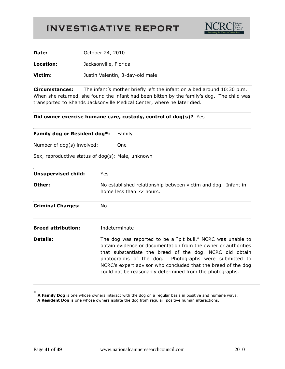

| Date:     | October 24, 2010                |
|-----------|---------------------------------|
| Location: | Jacksonville, Florida           |
| Victim:   | Justin Valentin, 3-day-old male |

**Circumstances:** The infant's mother briefly left the infant on a bed around 10:30 p.m. When she returned, she found the infant had been bitten by the family's dog. The child was transported to Shands Jacksonville Medical Center, where he later died.

#### **Did owner exercise humane care, custody, control of dog(s)?** Yes

| Family dog or Resident dog*:<br>Number of dog(s) involved: |            | Family                                                                                                                                                                                                                                                                                                                                                                         |  |
|------------------------------------------------------------|------------|--------------------------------------------------------------------------------------------------------------------------------------------------------------------------------------------------------------------------------------------------------------------------------------------------------------------------------------------------------------------------------|--|
|                                                            |            | One                                                                                                                                                                                                                                                                                                                                                                            |  |
| Sex, reproductive status of dog(s): Male, unknown          |            |                                                                                                                                                                                                                                                                                                                                                                                |  |
| <b>Unsupervised child:</b>                                 | <b>Yes</b> |                                                                                                                                                                                                                                                                                                                                                                                |  |
| Other:                                                     |            | No established relationship between victim and dog. Infant in<br>home less than 72 hours.                                                                                                                                                                                                                                                                                      |  |
| <b>Criminal Charges:</b>                                   | No.        |                                                                                                                                                                                                                                                                                                                                                                                |  |
| <b>Breed attribution:</b>                                  |            | Indeterminate                                                                                                                                                                                                                                                                                                                                                                  |  |
| <b>Details:</b>                                            |            | The dog was reported to be a "pit bull." NCRC was unable to<br>obtain evidence or documentation from the owner or authorities<br>that substantiate the breed of the dog. NCRC did obtain<br>photographs of the dog. Photographs were submitted to<br>NCRC's expert advisor who concluded that the breed of the dog<br>could not be reasonably determined from the photographs. |  |

<sup>\*</sup> **A Family Dog** is one whose owners interact with the dog on a regular basis in positive and humane ways.  **A Resident Dog** is one whose owners isolate the dog from regular, positive human interactions.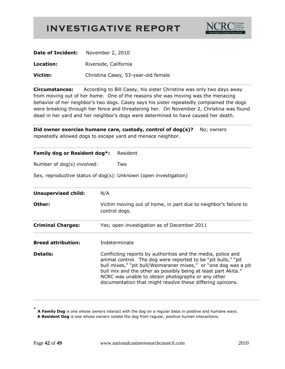

| <b>Date of Incident:</b> November 2, 2010 |                                     |
|-------------------------------------------|-------------------------------------|
| Location:                                 | Riverside, California               |
| Victim:                                   | Christina Casey, 53-year-old female |

**Circumstances:** According to Bill Casey, his sister Christina was only two days away from moving out of her home. One of the reasons she was moving was the menacing behavior of her neighbor's two dogs. Casey says his sister repeatedly complained the dogs were breaking through her fence and threatening her. On November 2, Christina was found dead in her yard and her neighbor's dogs were determined to have caused her death.

**Did owner exercise humane care, custody, control of dog(s)?** No; owners repeatedly allowed dogs to escape yard and menace neighbor.

| Family dog or Resident dog*: | Resident                                                                                                                                                                                                                                                                                                                                                                               |
|------------------------------|----------------------------------------------------------------------------------------------------------------------------------------------------------------------------------------------------------------------------------------------------------------------------------------------------------------------------------------------------------------------------------------|
| Number of dog(s) involved:   | Two                                                                                                                                                                                                                                                                                                                                                                                    |
|                              | Sex, reproductive status of dog(s): Unknown (open investigation)                                                                                                                                                                                                                                                                                                                       |
| <b>Unsupervised child:</b>   | N/A                                                                                                                                                                                                                                                                                                                                                                                    |
| Other:                       | Victim moving out of home, in part due to neighbor's failure to<br>control dogs.                                                                                                                                                                                                                                                                                                       |
| <b>Criminal Charges:</b>     | Yes; open investigation as of December 2011                                                                                                                                                                                                                                                                                                                                            |
| <b>Breed attribution:</b>    | Indeterminate                                                                                                                                                                                                                                                                                                                                                                          |
| <b>Details:</b>              | Conflicting reports by authorities and the media, police and<br>animal control. The dog were reported to be "pit bulls," "pit<br>bull mixes," "pit bull/Weimaraner mixes," or "one dog was a pit<br>bull mix and the other as possibly being at least part Akita."<br>NCRC was unable to obtain photographs or any other<br>documentation that might resolve these differing opinions. |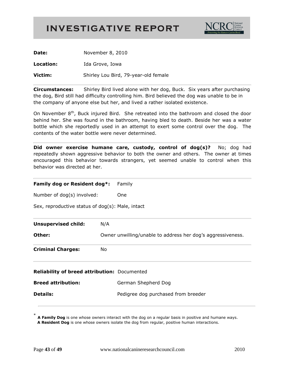

| Date:     | November 8, 2010                     |
|-----------|--------------------------------------|
| Location: | Ida Grove, Iowa                      |
| Victim:   | Shirley Lou Bird, 79-year-old female |

**Circumstances:** Shirley Bird lived alone with her dog, Buck. Six years after purchasing the dog, Bird still had difficulty controlling him. Bird believed the dog was unable to be in the company of anyone else but her, and lived a rather isolated existence.

On November  $8<sup>th</sup>$ , Buck injured Bird. She retreated into the bathroom and closed the door behind her. She was found in the bathroom, having bled to death. Beside her was a water bottle which she reportedly used in an attempt to exert some control over the dog. The contents of the water bottle were never determined.

**Did owner exercise humane care, custody, control of dog(s)?** No; dog had repeatedly shown aggressive behavior to both the owner and others. The owner at times encouraged this behavior towards strangers, yet seemed unable to control when this behavior was directed at her.

| Family dog or Resident dog*:                     |     | Family                                                      |
|--------------------------------------------------|-----|-------------------------------------------------------------|
| Number of dog(s) involved:                       |     | <b>One</b>                                                  |
| Sex, reproductive status of dog(s): Male, intact |     |                                                             |
| <b>Unsupervised child:</b>                       | N/A |                                                             |
| Other:                                           |     | Owner unwilling/unable to address her dog's aggressiveness. |
| <b>Criminal Charges:</b>                         | No. |                                                             |
| Reliability of breed attribution: Documented     |     |                                                             |
| <b>Breed attribution:</b>                        |     | German Shepherd Dog                                         |
| <b>Details:</b>                                  |     | Pedigree dog purchased from breeder                         |
|                                                  |     |                                                             |

**A Family Dog** is one whose owners interact with the dog on a regular basis in positive and humane ways.  **A Resident Dog** is one whose owners isolate the dog from regular, positive human interactions.

\*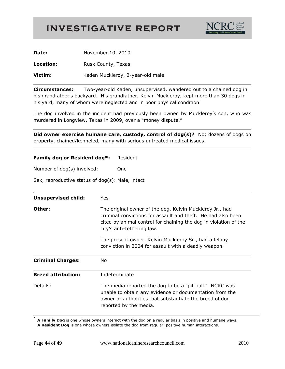

| Date:     | November 10, 2010                |
|-----------|----------------------------------|
| Location: | Rusk County, Texas               |
| Victim:   | Kaden Muckleroy, 2-year-old male |

**Circumstances:** Two-year-old Kaden, unsupervised, wandered out to a chained dog in his grandfather's backyard. His grandfather, Kelvin Muckleroy, kept more than 30 dogs in his yard, many of whom were neglected and in poor physical condition.

The dog involved in the incident had previously been owned by Muckleroy's son, who was murdered in Longview, Texas in 2009, over a "money dispute."

**Did owner exercise humane care, custody, control of dog(s)?** No; dozens of dogs on property, chained/kenneled, many with serious untreated medical issues.

#### **Family dog or Resident dog\*:** Resident

Number of dog(s) involved: One

Sex, reproductive status of dog(s): Male, intact

| <b>Unsupervised child:</b> | <b>Yes</b>                                                                                                                                                                                                                 |
|----------------------------|----------------------------------------------------------------------------------------------------------------------------------------------------------------------------------------------------------------------------|
| Other:                     | The original owner of the dog, Kelvin Muckleroy Jr., had<br>criminal convictions for assault and theft. He had also been<br>cited by animal control for chaining the dog in violation of the<br>city's anti-tethering law. |
|                            | The present owner, Kelvin Muckleroy Sr., had a felony<br>conviction in 2004 for assault with a deadly weapon.                                                                                                              |
| <b>Criminal Charges:</b>   | No.                                                                                                                                                                                                                        |
| <b>Breed attribution:</b>  | Indeterminate                                                                                                                                                                                                              |
| Details:                   | The media reported the dog to be a "pit bull." NCRC was<br>unable to obtain any evidence or documentation from the<br>owner or authorities that substantiate the breed of dog<br>reported by the media.                    |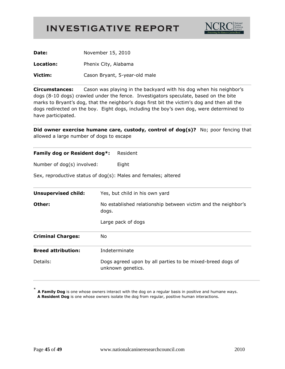

| Date:     | November 15, 2010             |
|-----------|-------------------------------|
| Location: | Phenix City, Alabama          |
| Victim:   | Cason Bryant, 5-year-old male |

**Circumstances:** Cason was playing in the backyard with his dog when his neighbor's dogs (8-10 dogs) crawled under the fence. Investigators speculate, based on the bite marks to Bryant's dog, that the neighbor's dogs first bit the victim's dog and then all the dogs redirected on the boy. Eight dogs, including the boy's own dog, were determined to have participated.

**Did owner exercise humane care, custody, control of dog(s)?** No; poor fencing that allowed a large number of dogs to escape

| Family dog or Resident dog*: | Resident                                                                                     |
|------------------------------|----------------------------------------------------------------------------------------------|
| Number of dog(s) involved:   | Eight                                                                                        |
|                              | Sex, reproductive status of dog(s): Males and females; altered                               |
| <b>Unsupervised child:</b>   | Yes, but child in his own yard                                                               |
| Other:                       | No established relationship between victim and the neighbor's<br>dogs.<br>Large pack of dogs |
| <b>Criminal Charges:</b>     | No                                                                                           |
| <b>Breed attribution:</b>    | Indeterminate                                                                                |
| Details:                     | Dogs agreed upon by all parties to be mixed-breed dogs of<br>unknown genetics.               |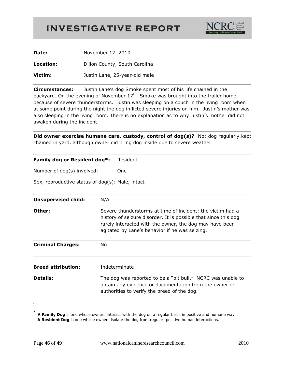

| Date:     | November 17, 2010             |
|-----------|-------------------------------|
| Location: | Dillon County, South Carolina |
| Victim:   | Justin Lane, 25-year-old male |

**Circumstances:** Justin Lane's dog Smoke spent most of his life chained in the backyard. On the evening of November  $17<sup>th</sup>$ , Smoke was brought into the trailer home because of severe thunderstorms. Justin was sleeping on a couch in the living room when at some point during the night the dog inflicted severe injuries on him. Justin's mother was also sleeping in the living room. There is no explanation as to why Justin's mother did not awaken during the incident.

**Did owner exercise humane care, custody, control of dog(s)?** No; dog regularly kept chained in yard, although owner did bring dog inside due to severe weather.

| Family dog or Resident dog*: | Resident |
|------------------------------|----------|
| Number of dog(s) involved:   | One      |

Sex, reproductive status of dog(s): Male, intact

| <b>Unsupervised child:</b> | N/A                                                                                                                                                                                                                                        |
|----------------------------|--------------------------------------------------------------------------------------------------------------------------------------------------------------------------------------------------------------------------------------------|
| Other:                     | Severe thunderstorms at time of incident; the victim had a<br>history of seizure disorder. It is possible that since this dog<br>rarely interacted with the owner, the dog may have been<br>agitated by Lane's behavior if he was seizing. |
| <b>Criminal Charges:</b>   | No.                                                                                                                                                                                                                                        |
| <b>Breed attribution:</b>  | Indeterminate                                                                                                                                                                                                                              |
| <b>Details:</b>            | The dog was reported to be a "pit bull." NCRC was unable to<br>obtain any evidence or documentation from the owner or<br>authorities to verify the breed of the dog.                                                                       |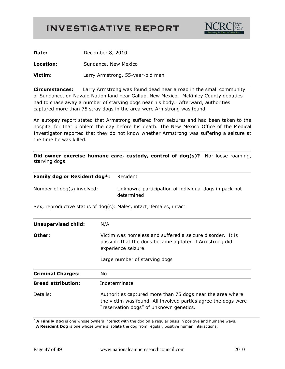

| Date:     | December 8, 2010                 |
|-----------|----------------------------------|
| Location: | Sundance, New Mexico             |
| Victim:   | Larry Armstrong, 55-year-old man |

**Circumstances:** Larry Armstrong was found dead near a road in the small community of Sundance, on Navajo Nation land near Gallup, New Mexico. McKinley County deputies had to chase away a number of starving dogs near his body. Afterward, authorities captured more than 75 stray dogs in the area were Armstrong was found.

An autopsy report stated that Armstrong suffered from seizures and had been taken to the hospital for that problem the day before his death. The New Mexico Office of the Medical Investigator reported that they do not know whether Armstrong was suffering a seizure at the time he was killed.

**Did owner exercise humane care, custody, control of dog(s)?** No; loose roaming, starving dogs.

| Family dog or Resident dog*: | Resident                                                                                                                                                                |
|------------------------------|-------------------------------------------------------------------------------------------------------------------------------------------------------------------------|
| Number of dog(s) involved:   | Unknown; participation of individual dogs in pack not<br>determined                                                                                                     |
|                              | Sex, reproductive status of dog(s): Males, intact; females, intact                                                                                                      |
| <b>Unsupervised child:</b>   | N/A                                                                                                                                                                     |
| Other:                       | Victim was homeless and suffered a seizure disorder. It is<br>possible that the dogs became agitated if Armstrong did<br>experience seizure.                            |
|                              | Large number of starving dogs                                                                                                                                           |
| <b>Criminal Charges:</b>     | No                                                                                                                                                                      |
| <b>Breed attribution:</b>    | Indeterminate                                                                                                                                                           |
| Details:                     | Authorities captured more than 75 dogs near the area where<br>the victim was found. All involved parties agree the dogs were<br>"reservation dogs" of unknown genetics. |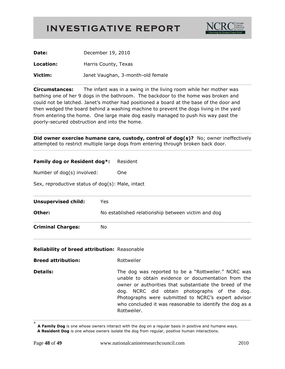

| Date:     | December 19, 2010                 |
|-----------|-----------------------------------|
| Location: | Harris County, Texas              |
| Victim:   | Janet Vaughan, 3-month-old female |

**Circumstances:** The infant was in a swing in the living room while her mother was bathing one of her 9 dogs in the bathroom. The backdoor to the home was broken and could not be latched. Janet's mother had positioned a board at the base of the door and then wedged the board behind a washing machine to prevent the dogs living in the yard from entering the home. One large male dog easily managed to push his way past the poorly-secured obstruction and into the home.

**Did owner exercise humane care, custody, control of dog(s)?** No; owner ineffectively attempted to restrict multiple large dogs from entering through broken back door.

#### **Family dog or Resident dog\*:** Resident

| Number of dog(s) involved: |  | One |
|----------------------------|--|-----|
|----------------------------|--|-----|

Sex, reproductive status of dog(s): Male, intact

| <b>Unsupervised child:</b> | Yes                                                |
|----------------------------|----------------------------------------------------|
| Other:                     | No established relationship between victim and dog |
| <b>Criminal Charges:</b>   | No                                                 |

#### **Reliability of breed attribution:** Reasonable

**Breed attribution:** Rottweiler

**Details:** The dog was reported to be a "Rottweiler." NCRC was unable to obtain evidence or documentation from the owner or authorities that substantiate the breed of the dog. NCRC did obtain photographs of the dog. Photographs were submitted to NCRC's expert advisor who concluded it was reasonable to identify the dog as a Rottweiler.

<sup>\*</sup> **A Family Dog** is one whose owners interact with the dog on a regular basis in positive and humane ways.  **A Resident Dog** is one whose owners isolate the dog from regular, positive human interactions.